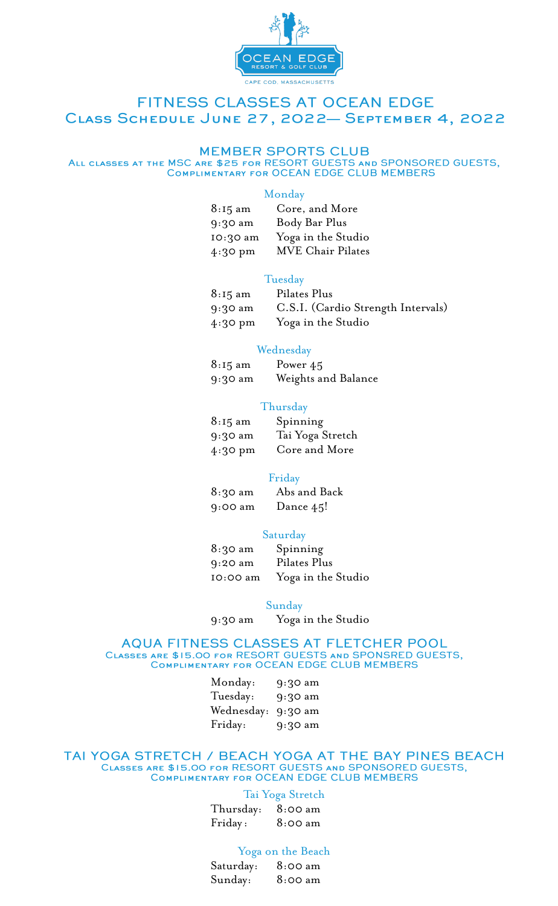

### FITNESS CLASSES AT OCEAN EDGE CLASS SCHEDULE JUNE 27, 2022- SEPTEMBER 4, 2022

#### **MEMBER SPORTS CLUB**

ALL CLASSES AT THE MSC ARE \$25 FOR RESORT GUESTS AND SPONSORED GUESTS,<br>COMPLIMENTARY FOR OCEAN EDGE CLUB MEMBERS

#### Monday

| $8:15 \text{ am}$ | Core, and More           |
|-------------------|--------------------------|
| 9:30 am           | Body Bar Plus            |
| 10:30 am          | Yoga in the Studio       |
| $4:30$ pm         | <b>MVE Chair Pilates</b> |

#### Tuesday

| $8:15 \text{ am}$ | Pilates Plus                       |
|-------------------|------------------------------------|
| $9:30 \text{ am}$ | C.S.I. (Cardio Strength Intervals) |
| $4:30 \text{ pm}$ | Yoga in the Studio                 |

#### Wednesday

| $8:15 \text{ am}$ | Power 45            |
|-------------------|---------------------|
| 9:30 am           | Weights and Balance |

#### Thursday

| $8:15 \text{ am}$ | Spinning         |
|-------------------|------------------|
| 9:30 am           | Tai Yoga Stretch |
| $4:30 \text{ pm}$ | Core and More    |

#### Friday

| $8:30 \text{ am}$ | Abs and Back |
|-------------------|--------------|
| 9:00 am           | Dance 45!    |

#### Saturday

| 8:30 am   | Spinning           |
|-----------|--------------------|
| $9:20$ am | Pilates Plus       |
| IO:00 am  | Yoga in the Studio |

#### Sunday

9:30 am Yoga in the Studio

## AQUA FITNESS CLASSES AT FLETCHER POOL CLASSES ARE \$15.00 FOR RESORT GUESTS AND SPONSRED GUESTS,<br>COMPLIMENTARY FOR OCEAN EDGE CLUB MEMBERS

| Monday:    | 9:30 am |
|------------|---------|
| Tuesday:   | 9:30 am |
| Wednesday: | 9:30 am |
| Friday:    | 9:30 am |

# CLASSES ARE \$15.00 FOR RESORT GUESTS AND SPONSORED GUESTS,<br>COMPLIMENTARY FOR OCEAN EDGE CLUB MEMBERS

#### Tai Yoga Stretch

| Thursday: | 8:00 am |
|-----------|---------|
| Friday:   | 8:00 am |

#### Yoga on the Beach

| Saturday: | 8:00 am |
|-----------|---------|
| Sunday:   | 8:00 am |